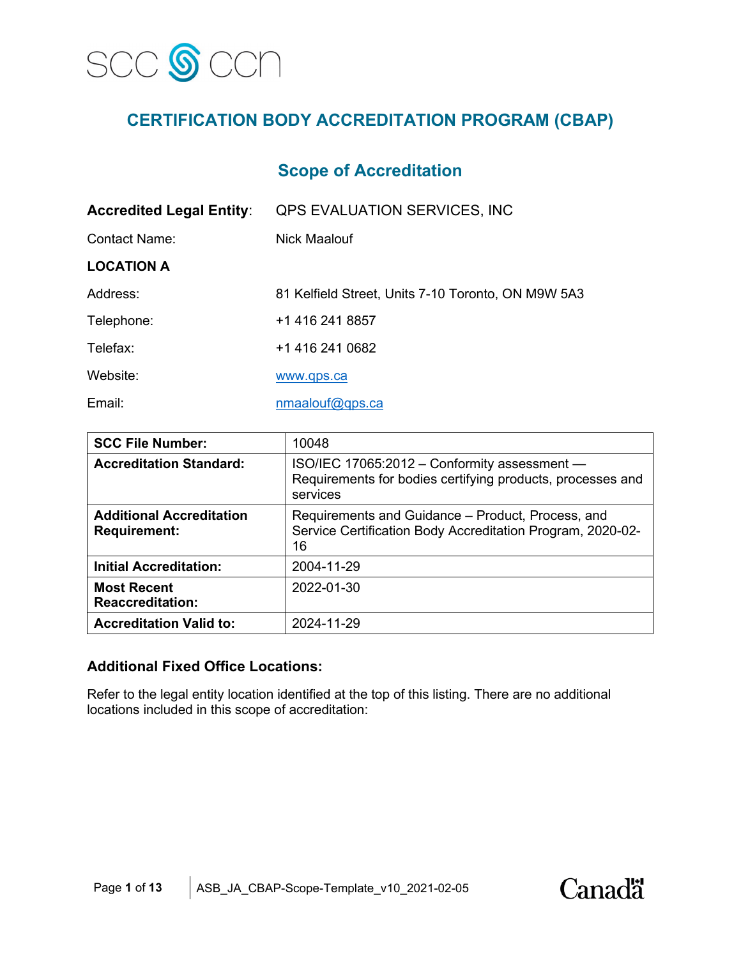

# **CERTIFICATION BODY ACCREDITATION PROGRAM (CBAP)**

## **Scope of Accreditation**

| <b>Accredited Legal Entity:</b> | QPS EVALUATION SERVICES, INC                       |
|---------------------------------|----------------------------------------------------|
| Contact Name:                   | Nick Maalouf                                       |
| <b>LOCATION A</b>               |                                                    |
| Address:                        | 81 Kelfield Street, Units 7-10 Toronto, ON M9W 5A3 |
| Telephone:                      | +1 416 241 8857                                    |
| Telefax:                        | +1 416 241 0682                                    |
| Website:                        | www.qps.ca                                         |
| Email:                          | nmaalouf@qps.ca                                    |

| <b>SCC File Number:</b>                                | 10048                                                                                                                  |
|--------------------------------------------------------|------------------------------------------------------------------------------------------------------------------------|
| <b>Accreditation Standard:</b>                         | ISO/IEC 17065:2012 - Conformity assessment -<br>Requirements for bodies certifying products, processes and<br>services |
| <b>Additional Accreditation</b><br><b>Requirement:</b> | Requirements and Guidance - Product, Process, and<br>Service Certification Body Accreditation Program, 2020-02-<br>16  |
| <b>Initial Accreditation:</b>                          | 2004-11-29                                                                                                             |
| <b>Most Recent</b><br><b>Reaccreditation:</b>          | 2022-01-30                                                                                                             |
| <b>Accreditation Valid to:</b>                         | 2024-11-29                                                                                                             |

#### **Additional Fixed Office Locations:**

Refer to the legal entity location identified at the top of this listing. There are no additional locations included in this scope of accreditation:

**Canadä**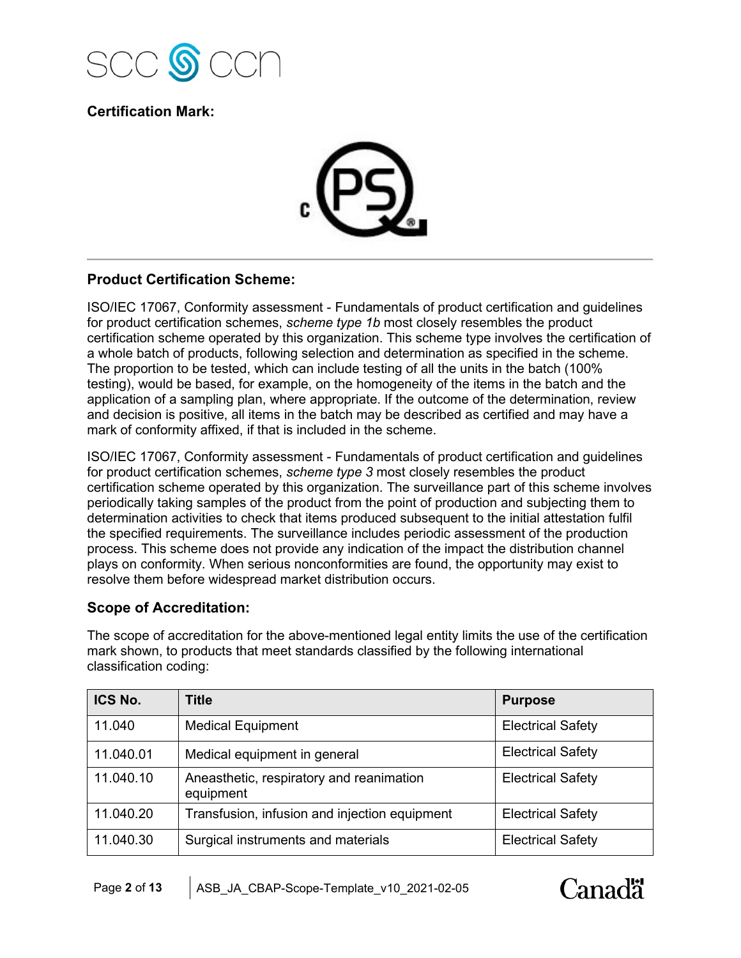

**Certification Mark:**



### **Product Certification Scheme:**

ISO/IEC 17067, Conformity assessment - Fundamentals of product certification and guidelines for product certification schemes, *scheme type 1b* most closely resembles the product certification scheme operated by this organization. This scheme type involves the certification of a whole batch of products, following selection and determination as specified in the scheme. The proportion to be tested, which can include testing of all the units in the batch (100% testing), would be based, for example, on the homogeneity of the items in the batch and the application of a sampling plan, where appropriate. If the outcome of the determination, review and decision is positive, all items in the batch may be described as certified and may have a mark of conformity affixed, if that is included in the scheme.

ISO/IEC 17067, Conformity assessment - Fundamentals of product certification and guidelines for product certification schemes, *scheme type 3* most closely resembles the product certification scheme operated by this organization. The surveillance part of this scheme involves periodically taking samples of the product from the point of production and subjecting them to determination activities to check that items produced subsequent to the initial attestation fulfil the specified requirements. The surveillance includes periodic assessment of the production process. This scheme does not provide any indication of the impact the distribution channel plays on conformity. When serious nonconformities are found, the opportunity may exist to resolve them before widespread market distribution occurs.

### **Scope of Accreditation:**

The scope of accreditation for the above-mentioned legal entity limits the use of the certification mark shown, to products that meet standards classified by the following international classification coding:

| ICS No.   | <b>Title</b>                                          | <b>Purpose</b>           |
|-----------|-------------------------------------------------------|--------------------------|
| 11.040    | <b>Medical Equipment</b>                              | <b>Electrical Safety</b> |
| 11.040.01 | Medical equipment in general                          | <b>Electrical Safety</b> |
| 11.040.10 | Aneasthetic, respiratory and reanimation<br>equipment | <b>Electrical Safety</b> |
| 11.040.20 | Transfusion, infusion and injection equipment         | <b>Electrical Safety</b> |
| 11.040.30 | Surgical instruments and materials                    | <b>Electrical Safety</b> |

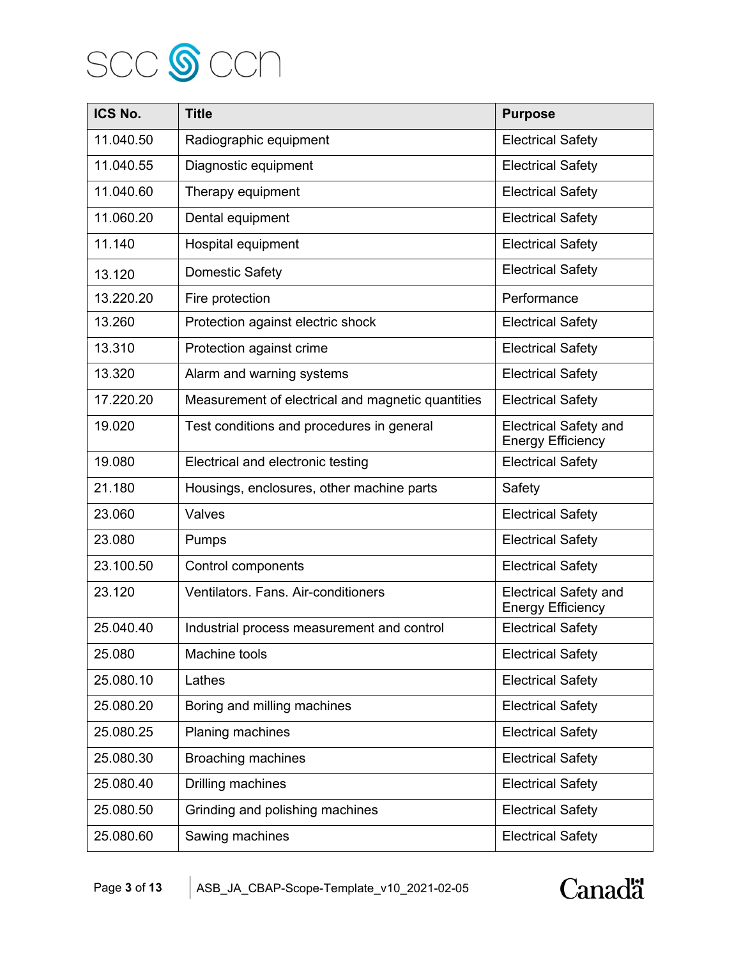

| ICS No.   | <b>Title</b>                                      | <b>Purpose</b>                                           |
|-----------|---------------------------------------------------|----------------------------------------------------------|
| 11.040.50 | Radiographic equipment                            | <b>Electrical Safety</b>                                 |
| 11.040.55 | Diagnostic equipment                              | <b>Electrical Safety</b>                                 |
| 11.040.60 | Therapy equipment                                 | <b>Electrical Safety</b>                                 |
| 11.060.20 | Dental equipment                                  | <b>Electrical Safety</b>                                 |
| 11.140    | Hospital equipment                                | <b>Electrical Safety</b>                                 |
| 13.120    | <b>Domestic Safety</b>                            | <b>Electrical Safety</b>                                 |
| 13.220.20 | Fire protection                                   | Performance                                              |
| 13.260    | Protection against electric shock                 | <b>Electrical Safety</b>                                 |
| 13.310    | Protection against crime                          | <b>Electrical Safety</b>                                 |
| 13.320    | Alarm and warning systems                         | <b>Electrical Safety</b>                                 |
| 17.220.20 | Measurement of electrical and magnetic quantities | <b>Electrical Safety</b>                                 |
| 19.020    | Test conditions and procedures in general         | <b>Electrical Safety and</b><br><b>Energy Efficiency</b> |
| 19.080    | Electrical and electronic testing                 | <b>Electrical Safety</b>                                 |
| 21.180    | Housings, enclosures, other machine parts         | Safety                                                   |
| 23.060    | Valves                                            | <b>Electrical Safety</b>                                 |
| 23.080    | Pumps                                             | <b>Electrical Safety</b>                                 |
| 23.100.50 | Control components                                | <b>Electrical Safety</b>                                 |
| 23.120    | Ventilators. Fans. Air-conditioners               | <b>Electrical Safety and</b><br><b>Energy Efficiency</b> |
| 25.040.40 | Industrial process measurement and control        | <b>Electrical Safety</b>                                 |
| 25.080    | Machine tools                                     | <b>Electrical Safety</b>                                 |
| 25.080.10 | Lathes                                            | <b>Electrical Safety</b>                                 |
| 25.080.20 | Boring and milling machines                       | <b>Electrical Safety</b>                                 |
| 25.080.25 | Planing machines                                  | <b>Electrical Safety</b>                                 |
| 25.080.30 | <b>Broaching machines</b>                         | <b>Electrical Safety</b>                                 |
| 25.080.40 | Drilling machines                                 | <b>Electrical Safety</b>                                 |
| 25.080.50 | Grinding and polishing machines                   | <b>Electrical Safety</b>                                 |
| 25.080.60 | Sawing machines                                   | <b>Electrical Safety</b>                                 |

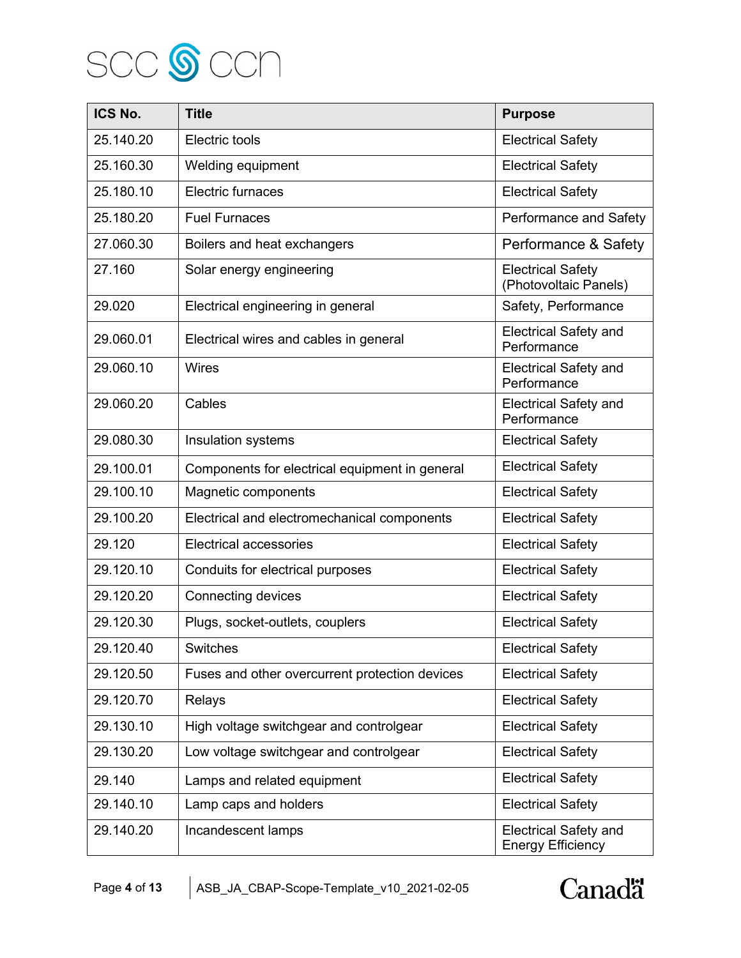

| ICS No.   | <b>Title</b>                                   | <b>Purpose</b>                                           |
|-----------|------------------------------------------------|----------------------------------------------------------|
| 25.140.20 | Electric tools                                 | <b>Electrical Safety</b>                                 |
| 25.160.30 | Welding equipment                              | <b>Electrical Safety</b>                                 |
| 25.180.10 | Electric furnaces                              | <b>Electrical Safety</b>                                 |
| 25.180.20 | <b>Fuel Furnaces</b>                           | Performance and Safety                                   |
| 27.060.30 | Boilers and heat exchangers                    | Performance & Safety                                     |
| 27.160    | Solar energy engineering                       | <b>Electrical Safety</b><br>(Photovoltaic Panels)        |
| 29.020    | Electrical engineering in general              | Safety, Performance                                      |
| 29.060.01 | Electrical wires and cables in general         | <b>Electrical Safety and</b><br>Performance              |
| 29.060.10 | <b>Wires</b>                                   | <b>Electrical Safety and</b><br>Performance              |
| 29.060.20 | Cables                                         | <b>Electrical Safety and</b><br>Performance              |
| 29.080.30 | Insulation systems                             | <b>Electrical Safety</b>                                 |
| 29.100.01 | Components for electrical equipment in general | <b>Electrical Safety</b>                                 |
| 29.100.10 | Magnetic components                            | <b>Electrical Safety</b>                                 |
| 29.100.20 | Electrical and electromechanical components    | <b>Electrical Safety</b>                                 |
| 29.120    | <b>Electrical accessories</b>                  | <b>Electrical Safety</b>                                 |
| 29.120.10 | Conduits for electrical purposes               | <b>Electrical Safety</b>                                 |
| 29.120.20 | Connecting devices                             | <b>Electrical Safety</b>                                 |
| 29.120.30 | Plugs, socket-outlets, couplers                | <b>Electrical Safety</b>                                 |
| 29.120.40 | <b>Switches</b>                                | <b>Electrical Safety</b>                                 |
| 29.120.50 | Fuses and other overcurrent protection devices | <b>Electrical Safety</b>                                 |
| 29.120.70 | Relays                                         | <b>Electrical Safety</b>                                 |
| 29.130.10 | High voltage switchgear and controlgear        | <b>Electrical Safety</b>                                 |
| 29.130.20 | Low voltage switchgear and controlgear         | <b>Electrical Safety</b>                                 |
| 29.140    | Lamps and related equipment                    | <b>Electrical Safety</b>                                 |
| 29.140.10 | Lamp caps and holders                          | <b>Electrical Safety</b>                                 |
| 29.140.20 | Incandescent lamps                             | <b>Electrical Safety and</b><br><b>Energy Efficiency</b> |

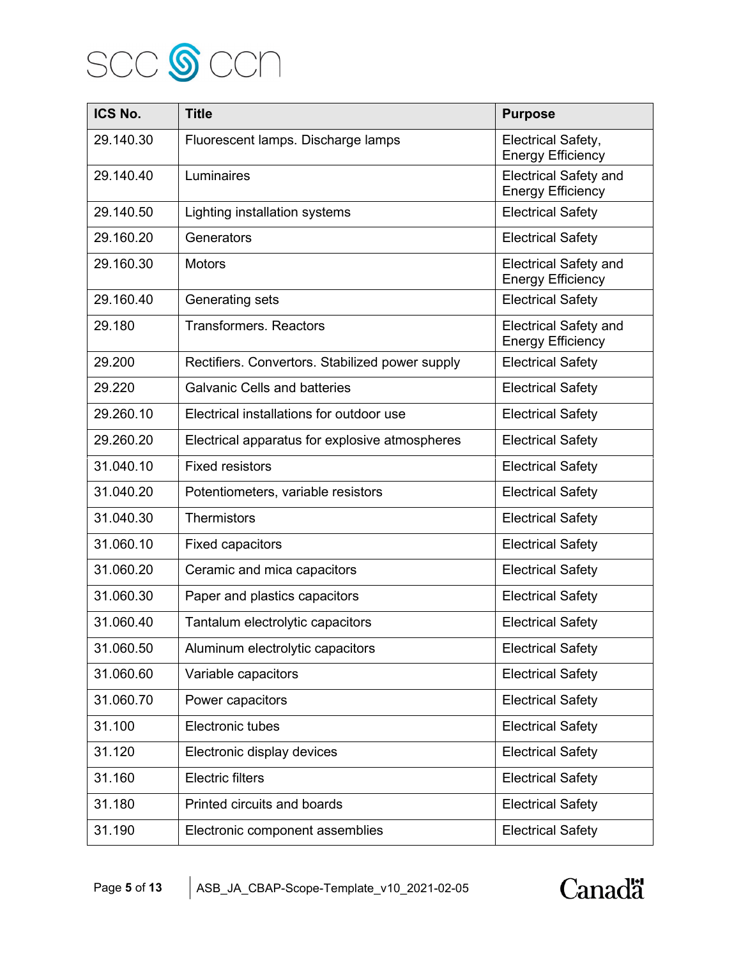

| ICS No.   | <b>Title</b>                                    | <b>Purpose</b>                                           |
|-----------|-------------------------------------------------|----------------------------------------------------------|
| 29.140.30 | Fluorescent lamps. Discharge lamps              | Electrical Safety,<br><b>Energy Efficiency</b>           |
| 29.140.40 | Luminaires                                      | <b>Electrical Safety and</b><br><b>Energy Efficiency</b> |
| 29.140.50 | Lighting installation systems                   | <b>Electrical Safety</b>                                 |
| 29.160.20 | Generators                                      | <b>Electrical Safety</b>                                 |
| 29.160.30 | <b>Motors</b>                                   | <b>Electrical Safety and</b><br><b>Energy Efficiency</b> |
| 29.160.40 | Generating sets                                 | <b>Electrical Safety</b>                                 |
| 29.180    | <b>Transformers. Reactors</b>                   | <b>Electrical Safety and</b><br><b>Energy Efficiency</b> |
| 29.200    | Rectifiers. Convertors. Stabilized power supply | <b>Electrical Safety</b>                                 |
| 29.220    | <b>Galvanic Cells and batteries</b>             | <b>Electrical Safety</b>                                 |
| 29.260.10 | Electrical installations for outdoor use        | <b>Electrical Safety</b>                                 |
| 29.260.20 | Electrical apparatus for explosive atmospheres  | <b>Electrical Safety</b>                                 |
| 31.040.10 | <b>Fixed resistors</b>                          | <b>Electrical Safety</b>                                 |
| 31.040.20 | Potentiometers, variable resistors              | <b>Electrical Safety</b>                                 |
| 31.040.30 | <b>Thermistors</b>                              | <b>Electrical Safety</b>                                 |
| 31.060.10 | <b>Fixed capacitors</b>                         | <b>Electrical Safety</b>                                 |
| 31.060.20 | Ceramic and mica capacitors                     | <b>Electrical Safety</b>                                 |
| 31.060.30 | Paper and plastics capacitors                   | <b>Electrical Safety</b>                                 |
| 31.060.40 | Tantalum electrolytic capacitors                | <b>Electrical Safety</b>                                 |
| 31.060.50 | Aluminum electrolytic capacitors                | <b>Electrical Safety</b>                                 |
| 31.060.60 | Variable capacitors                             | <b>Electrical Safety</b>                                 |
| 31.060.70 | Power capacitors                                | <b>Electrical Safety</b>                                 |
| 31.100    | Electronic tubes                                | <b>Electrical Safety</b>                                 |
| 31.120    | Electronic display devices                      | <b>Electrical Safety</b>                                 |
| 31.160    | <b>Electric filters</b>                         | <b>Electrical Safety</b>                                 |
| 31.180    | Printed circuits and boards                     | <b>Electrical Safety</b>                                 |
| 31.190    | Electronic component assemblies                 | <b>Electrical Safety</b>                                 |

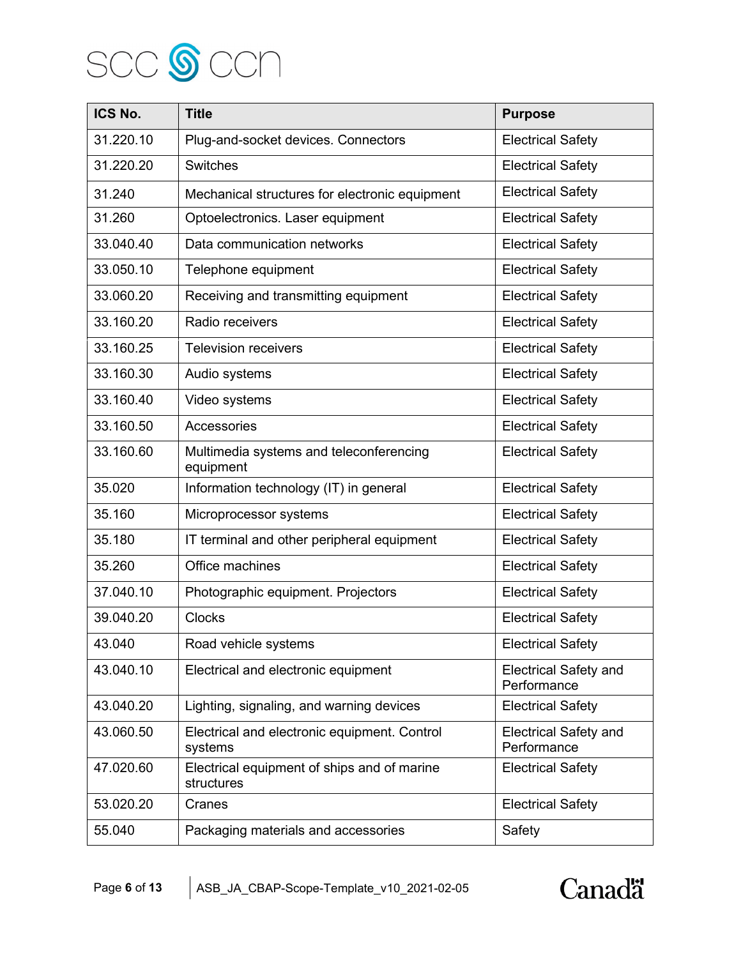

| ICS No.   | <b>Title</b>                                              | <b>Purpose</b>                              |
|-----------|-----------------------------------------------------------|---------------------------------------------|
| 31.220.10 | Plug-and-socket devices. Connectors                       | <b>Electrical Safety</b>                    |
| 31.220.20 | <b>Switches</b>                                           | <b>Electrical Safety</b>                    |
| 31.240    | Mechanical structures for electronic equipment            | <b>Electrical Safety</b>                    |
| 31.260    | Optoelectronics. Laser equipment                          | <b>Electrical Safety</b>                    |
| 33.040.40 | Data communication networks                               | <b>Electrical Safety</b>                    |
| 33.050.10 | Telephone equipment                                       | <b>Electrical Safety</b>                    |
| 33.060.20 | Receiving and transmitting equipment                      | <b>Electrical Safety</b>                    |
| 33.160.20 | Radio receivers                                           | <b>Electrical Safety</b>                    |
| 33.160.25 | <b>Television receivers</b>                               | <b>Electrical Safety</b>                    |
| 33.160.30 | Audio systems                                             | <b>Electrical Safety</b>                    |
| 33.160.40 | Video systems                                             | <b>Electrical Safety</b>                    |
| 33.160.50 | Accessories                                               | <b>Electrical Safety</b>                    |
| 33.160.60 | Multimedia systems and teleconferencing<br>equipment      | <b>Electrical Safety</b>                    |
| 35.020    | Information technology (IT) in general                    | <b>Electrical Safety</b>                    |
| 35.160    | Microprocessor systems                                    | <b>Electrical Safety</b>                    |
| 35.180    | IT terminal and other peripheral equipment                | <b>Electrical Safety</b>                    |
| 35.260    | Office machines                                           | <b>Electrical Safety</b>                    |
| 37.040.10 | Photographic equipment. Projectors                        | <b>Electrical Safety</b>                    |
| 39.040.20 | <b>Clocks</b>                                             | <b>Electrical Safety</b>                    |
| 43.040    | Road vehicle systems                                      | <b>Electrical Safety</b>                    |
| 43.040.10 | Electrical and electronic equipment                       | <b>Electrical Safety and</b><br>Performance |
| 43.040.20 | Lighting, signaling, and warning devices                  | <b>Electrical Safety</b>                    |
| 43.060.50 | Electrical and electronic equipment. Control<br>systems   | <b>Electrical Safety and</b><br>Performance |
| 47.020.60 | Electrical equipment of ships and of marine<br>structures | <b>Electrical Safety</b>                    |
| 53.020.20 | Cranes                                                    | <b>Electrical Safety</b>                    |
| 55.040    | Packaging materials and accessories                       | Safety                                      |

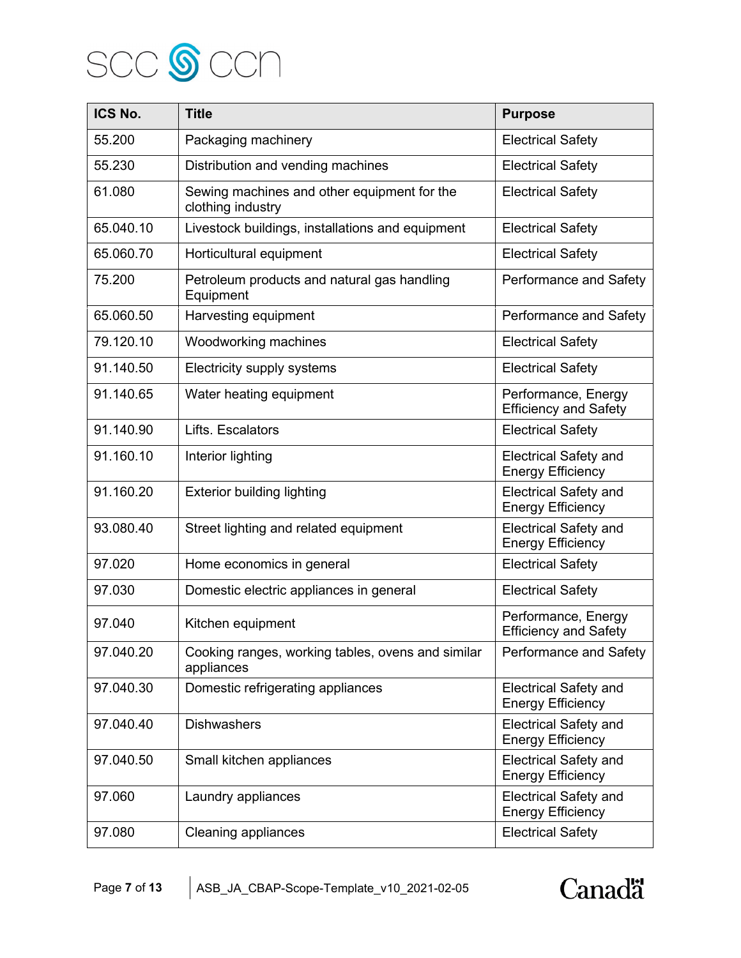

| ICS No.   | <b>Title</b>                                                     | <b>Purpose</b>                                           |
|-----------|------------------------------------------------------------------|----------------------------------------------------------|
| 55.200    | Packaging machinery                                              | <b>Electrical Safety</b>                                 |
| 55.230    | Distribution and vending machines                                | <b>Electrical Safety</b>                                 |
| 61.080    | Sewing machines and other equipment for the<br>clothing industry | <b>Electrical Safety</b>                                 |
| 65.040.10 | Livestock buildings, installations and equipment                 | <b>Electrical Safety</b>                                 |
| 65.060.70 | Horticultural equipment                                          | <b>Electrical Safety</b>                                 |
| 75.200    | Petroleum products and natural gas handling<br>Equipment         | Performance and Safety                                   |
| 65.060.50 | Harvesting equipment                                             | Performance and Safety                                   |
| 79.120.10 | Woodworking machines                                             | <b>Electrical Safety</b>                                 |
| 91.140.50 | Electricity supply systems                                       | <b>Electrical Safety</b>                                 |
| 91.140.65 | Water heating equipment                                          | Performance, Energy<br><b>Efficiency and Safety</b>      |
| 91.140.90 | Lifts. Escalators                                                | <b>Electrical Safety</b>                                 |
| 91.160.10 | Interior lighting                                                | <b>Electrical Safety and</b><br><b>Energy Efficiency</b> |
| 91.160.20 | <b>Exterior building lighting</b>                                | <b>Electrical Safety and</b><br><b>Energy Efficiency</b> |
| 93.080.40 | Street lighting and related equipment                            | <b>Electrical Safety and</b><br><b>Energy Efficiency</b> |
| 97.020    | Home economics in general                                        | <b>Electrical Safety</b>                                 |
| 97.030    | Domestic electric appliances in general                          | <b>Electrical Safety</b>                                 |
| 97.040    | Kitchen equipment                                                | Performance, Energy<br><b>Efficiency and Safety</b>      |
| 97.040.20 | Cooking ranges, working tables, ovens and similar<br>appliances  | Performance and Safety                                   |
| 97.040.30 | Domestic refrigerating appliances                                | <b>Electrical Safety and</b><br><b>Energy Efficiency</b> |
| 97.040.40 | <b>Dishwashers</b>                                               | <b>Electrical Safety and</b><br><b>Energy Efficiency</b> |
| 97.040.50 | Small kitchen appliances                                         | <b>Electrical Safety and</b><br><b>Energy Efficiency</b> |
| 97.060    | Laundry appliances                                               | <b>Electrical Safety and</b><br><b>Energy Efficiency</b> |
| 97.080    | <b>Cleaning appliances</b>                                       | <b>Electrical Safety</b>                                 |

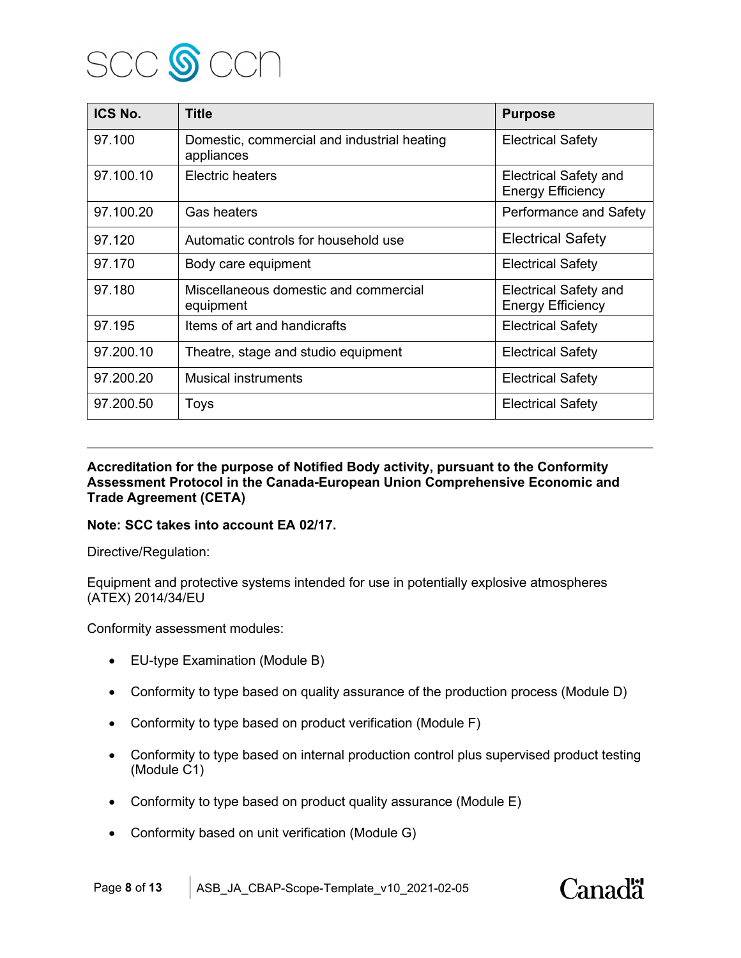

| ICS No.   | <b>Title</b>                                              | <b>Purpose</b>                                           |
|-----------|-----------------------------------------------------------|----------------------------------------------------------|
| 97.100    | Domestic, commercial and industrial heating<br>appliances | <b>Electrical Safety</b>                                 |
| 97.100.10 | Electric heaters                                          | <b>Electrical Safety and</b><br><b>Energy Efficiency</b> |
| 97.100.20 | Gas heaters                                               | Performance and Safety                                   |
| 97.120    | Automatic controls for household use                      | <b>Electrical Safety</b>                                 |
| 97.170    | Body care equipment                                       | <b>Electrical Safety</b>                                 |
| 97.180    | Miscellaneous domestic and commercial<br>equipment        | <b>Electrical Safety and</b><br><b>Energy Efficiency</b> |
| 97.195    | Items of art and handicrafts                              | <b>Electrical Safety</b>                                 |
| 97.200.10 | Theatre, stage and studio equipment                       | <b>Electrical Safety</b>                                 |
| 97.200.20 | <b>Musical instruments</b>                                | <b>Electrical Safety</b>                                 |
| 97.200.50 | Toys                                                      | <b>Electrical Safety</b>                                 |

**Accreditation for the purpose of Notified Body activity, pursuant to the Conformity Assessment Protocol in the Canada-European Union Comprehensive Economic and Trade Agreement (CETA)**

#### **Note: SCC takes into account EA 02/17.**

Directive/Regulation:

Equipment and protective systems intended for use in potentially explosive atmospheres (ATEX) 2014/34/EU

Conformity assessment modules:

- EU-type Examination (Module B)
- Conformity to type based on quality assurance of the production process (Module D)
- Conformity to type based on product verification (Module F)
- Conformity to type based on internal production control plus supervised product testing (Module C1)
- Conformity to type based on product quality assurance (Module E)
- Conformity based on unit verification (Module G)

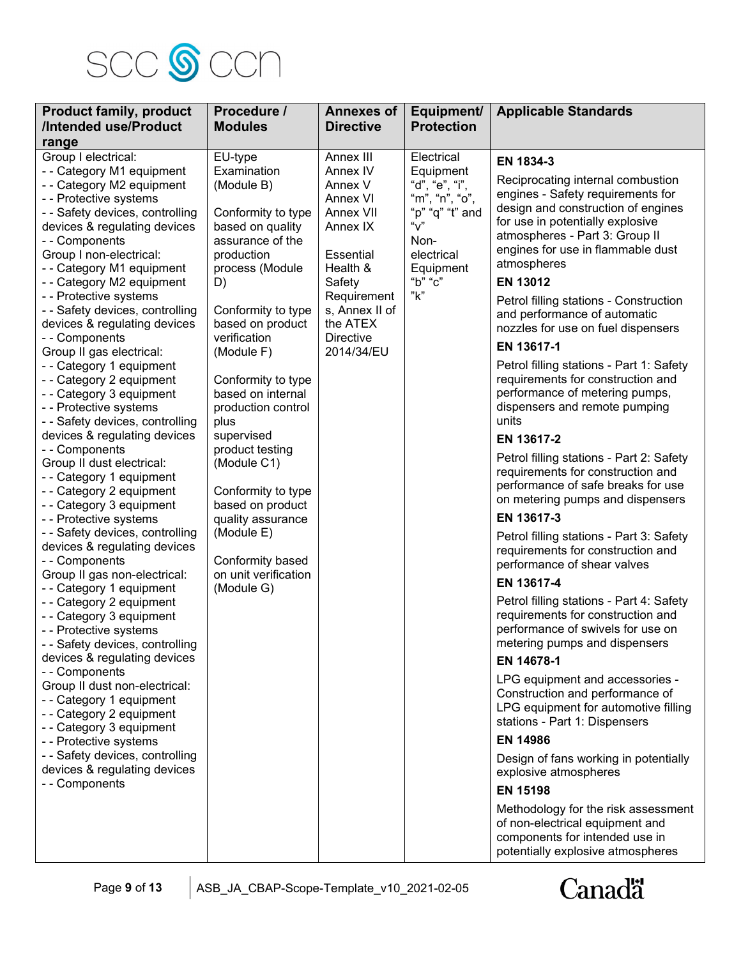

| <b>Product family, product</b><br>/Intended use/Product<br>range                                                                                                                                                                                                                                                                                                                                                                                                                                                                                                                                                                                                                                                                                                                                                                                                                                                                                                                                                                                                                                                                                                                                                                                                                                                                  | Procedure /<br><b>Modules</b>                                                                                                                                                                                                                                                                                                                                                                                                                                                     | <b>Annexes of</b><br><b>Directive</b>                                                                                                                                                   | Equipment/<br><b>Protection</b>                                                                                                                | <b>Applicable Standards</b>                                                                                                                                                                                                                                                                                                                                                                                                                                                                                                                                                                                                                                                                                                                                                                                                                                                                                                                                                                                                                                                                                                                                                                                                                                                                                                                                                                                                                                         |
|-----------------------------------------------------------------------------------------------------------------------------------------------------------------------------------------------------------------------------------------------------------------------------------------------------------------------------------------------------------------------------------------------------------------------------------------------------------------------------------------------------------------------------------------------------------------------------------------------------------------------------------------------------------------------------------------------------------------------------------------------------------------------------------------------------------------------------------------------------------------------------------------------------------------------------------------------------------------------------------------------------------------------------------------------------------------------------------------------------------------------------------------------------------------------------------------------------------------------------------------------------------------------------------------------------------------------------------|-----------------------------------------------------------------------------------------------------------------------------------------------------------------------------------------------------------------------------------------------------------------------------------------------------------------------------------------------------------------------------------------------------------------------------------------------------------------------------------|-----------------------------------------------------------------------------------------------------------------------------------------------------------------------------------------|------------------------------------------------------------------------------------------------------------------------------------------------|---------------------------------------------------------------------------------------------------------------------------------------------------------------------------------------------------------------------------------------------------------------------------------------------------------------------------------------------------------------------------------------------------------------------------------------------------------------------------------------------------------------------------------------------------------------------------------------------------------------------------------------------------------------------------------------------------------------------------------------------------------------------------------------------------------------------------------------------------------------------------------------------------------------------------------------------------------------------------------------------------------------------------------------------------------------------------------------------------------------------------------------------------------------------------------------------------------------------------------------------------------------------------------------------------------------------------------------------------------------------------------------------------------------------------------------------------------------------|
| Group I electrical:<br>- - Category M1 equipment<br>-- Category M2 equipment<br>- - Protective systems<br>- - Safety devices, controlling<br>devices & regulating devices<br>- - Components<br>Group I non-electrical:<br>-- Category M1 equipment<br>- - Category M2 equipment<br>- - Protective systems<br>- - Safety devices, controlling<br>devices & regulating devices<br>-- Components<br>Group II gas electrical:<br>- - Category 1 equipment<br>- - Category 2 equipment<br>- - Category 3 equipment<br>- - Protective systems<br>- - Safety devices, controlling<br>devices & regulating devices<br>- - Components<br>Group II dust electrical:<br>- - Category 1 equipment<br>- - Category 2 equipment<br>- - Category 3 equipment<br>- - Protective systems<br>- - Safety devices, controlling<br>devices & regulating devices<br>- - Components<br>Group II gas non-electrical:<br>- - Category 1 equipment<br>- - Category 2 equipment<br>- - Category 3 equipment<br>- - Protective systems<br>- - Safety devices, controlling<br>devices & regulating devices<br>-- Components<br>Group II dust non-electrical:<br>-- Category 1 equipment<br>- - Category 2 equipment<br>- - Category 3 equipment<br>- - Protective systems<br>- - Safety devices, controlling<br>devices & regulating devices<br>- - Components | EU-type<br>Examination<br>(Module B)<br>Conformity to type<br>based on quality<br>assurance of the<br>production<br>process (Module<br>D)<br>Conformity to type<br>based on product<br>verification<br>(Module F)<br>Conformity to type<br>based on internal<br>production control<br>plus<br>supervised<br>product testing<br>(Module C1)<br>Conformity to type<br>based on product<br>quality assurance<br>(Module E)<br>Conformity based<br>on unit verification<br>(Module G) | Annex III<br>Annex IV<br>Annex V<br>Annex VI<br>Annex VII<br>Annex IX<br>Essential<br>Health &<br>Safety<br>Requirement<br>s, Annex II of<br>the ATEX<br><b>Directive</b><br>2014/34/EU | Electrical<br>Equipment<br>"d", "e", "i",<br>"m", "n", "o",<br>"p" "q" "t" and<br>" $V$ "<br>Non-<br>electrical<br>Equipment<br>"b" "c"<br>"k" | EN 1834-3<br>Reciprocating internal combustion<br>engines - Safety requirements for<br>design and construction of engines<br>for use in potentially explosive<br>atmospheres - Part 3: Group II<br>engines for use in flammable dust<br>atmospheres<br><b>EN 13012</b><br>Petrol filling stations - Construction<br>and performance of automatic<br>nozzles for use on fuel dispensers<br>EN 13617-1<br>Petrol filling stations - Part 1: Safety<br>requirements for construction and<br>performance of metering pumps,<br>dispensers and remote pumping<br>units<br>EN 13617-2<br>Petrol filling stations - Part 2: Safety<br>requirements for construction and<br>performance of safe breaks for use<br>on metering pumps and dispensers<br>EN 13617-3<br>Petrol filling stations - Part 3: Safety<br>requirements for construction and<br>performance of shear valves<br>EN 13617-4<br>Petrol filling stations - Part 4: Safety<br>requirements for construction and<br>performance of swivels for use on<br>metering pumps and dispensers<br>EN 14678-1<br>LPG equipment and accessories -<br>Construction and performance of<br>LPG equipment for automotive filling<br>stations - Part 1: Dispensers<br><b>EN 14986</b><br>Design of fans working in potentially<br>explosive atmospheres<br><b>EN 15198</b><br>Methodology for the risk assessment<br>of non-electrical equipment and<br>components for intended use in<br>potentially explosive atmospheres |

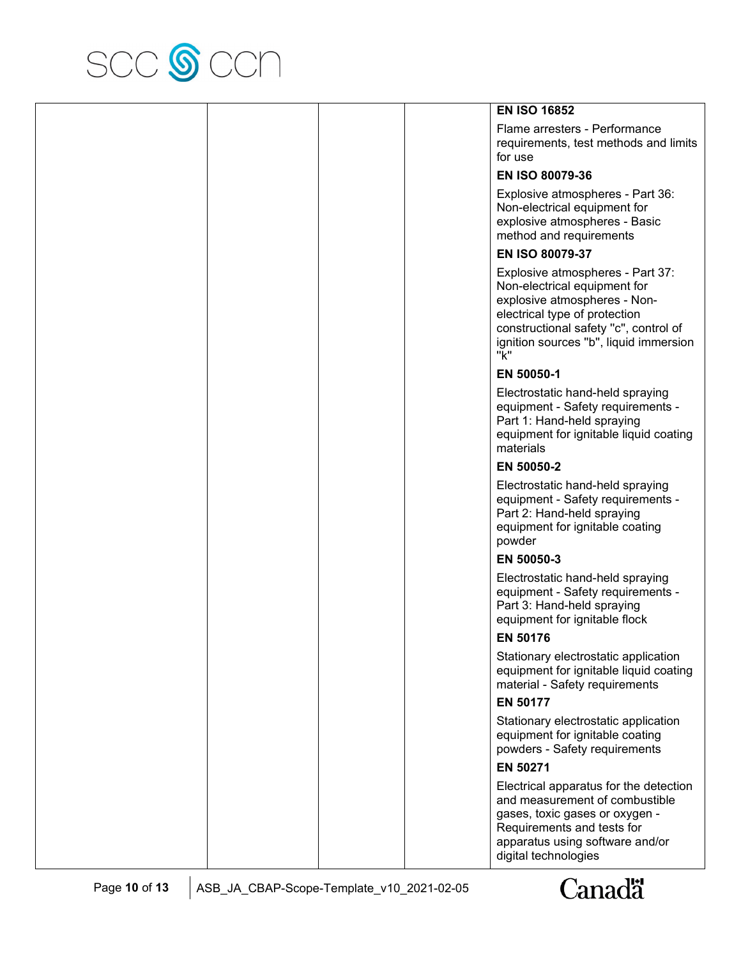

|  |  | <b>EN ISO 16852</b>                                                                                                                                                                                                         |
|--|--|-----------------------------------------------------------------------------------------------------------------------------------------------------------------------------------------------------------------------------|
|  |  | Flame arresters - Performance<br>requirements, test methods and limits<br>for use                                                                                                                                           |
|  |  | EN ISO 80079-36                                                                                                                                                                                                             |
|  |  | Explosive atmospheres - Part 36:<br>Non-electrical equipment for<br>explosive atmospheres - Basic<br>method and requirements                                                                                                |
|  |  | EN ISO 80079-37                                                                                                                                                                                                             |
|  |  | Explosive atmospheres - Part 37:<br>Non-electrical equipment for<br>explosive atmospheres - Non-<br>electrical type of protection<br>constructional safety "c", control of<br>ignition sources "b", liquid immersion<br>"k" |
|  |  | EN 50050-1                                                                                                                                                                                                                  |
|  |  | Electrostatic hand-held spraying<br>equipment - Safety requirements -<br>Part 1: Hand-held spraying<br>equipment for ignitable liquid coating<br>materials                                                                  |
|  |  | EN 50050-2                                                                                                                                                                                                                  |
|  |  | Electrostatic hand-held spraying<br>equipment - Safety requirements -<br>Part 2: Hand-held spraying<br>equipment for ignitable coating<br>powder                                                                            |
|  |  | EN 50050-3                                                                                                                                                                                                                  |
|  |  | Electrostatic hand-held spraying<br>equipment - Safety requirements -<br>Part 3: Hand-held spraying<br>equipment for ignitable flock                                                                                        |
|  |  | <b>EN 50176</b>                                                                                                                                                                                                             |
|  |  | Stationary electrostatic application<br>equipment for ignitable liquid coating<br>material - Safety requirements                                                                                                            |
|  |  | <b>EN 50177</b>                                                                                                                                                                                                             |
|  |  | Stationary electrostatic application<br>equipment for ignitable coating<br>powders - Safety requirements                                                                                                                    |
|  |  | EN 50271                                                                                                                                                                                                                    |
|  |  | Electrical apparatus for the detection<br>and measurement of combustible<br>gases, toxic gases or oxygen -<br>Requirements and tests for<br>apparatus using software and/or<br>digital technologies                         |

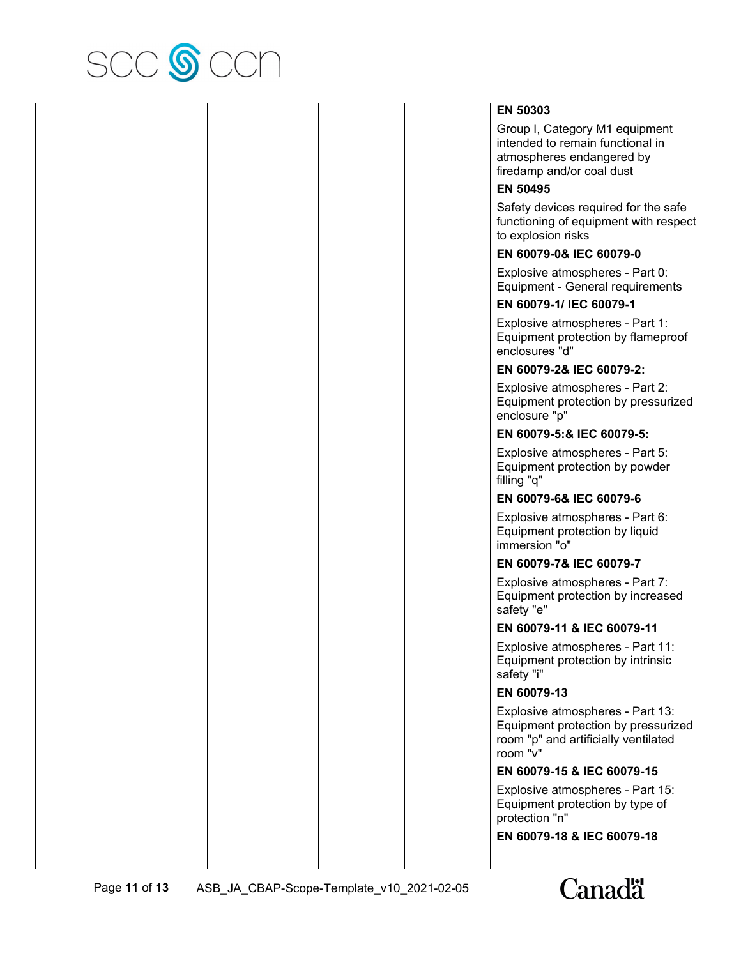

|  | EN 50303                                                                                                                     |
|--|------------------------------------------------------------------------------------------------------------------------------|
|  | Group I, Category M1 equipment<br>intended to remain functional in<br>atmospheres endangered by<br>firedamp and/or coal dust |
|  | <b>EN 50495</b>                                                                                                              |
|  | Safety devices required for the safe<br>functioning of equipment with respect<br>to explosion risks                          |
|  | EN 60079-0& IEC 60079-0                                                                                                      |
|  | Explosive atmospheres - Part 0:<br>Equipment - General requirements                                                          |
|  | EN 60079-1/ IEC 60079-1                                                                                                      |
|  | Explosive atmospheres - Part 1:<br>Equipment protection by flameproof<br>enclosures "d"                                      |
|  | EN 60079-2& IEC 60079-2:                                                                                                     |
|  | Explosive atmospheres - Part 2:<br>Equipment protection by pressurized<br>enclosure "p"                                      |
|  | EN 60079-5:& IEC 60079-5:                                                                                                    |
|  | Explosive atmospheres - Part 5:<br>Equipment protection by powder<br>filling "q"                                             |
|  | EN 60079-6& IEC 60079-6                                                                                                      |
|  | Explosive atmospheres - Part 6:<br>Equipment protection by liquid<br>immersion "o"                                           |
|  | EN 60079-7& IEC 60079-7                                                                                                      |
|  | Explosive atmospheres - Part 7:<br>Equipment protection by increased<br>safety "e"                                           |
|  | EN 60079-11 & IEC 60079-11                                                                                                   |
|  | Explosive atmospheres - Part 11:<br>Equipment protection by intrinsic<br>safety "i"                                          |
|  | EN 60079-13                                                                                                                  |
|  | Explosive atmospheres - Part 13:<br>Equipment protection by pressurized<br>room "p" and artificially ventilated<br>room "v"  |
|  | EN 60079-15 & IEC 60079-15                                                                                                   |
|  | Explosive atmospheres - Part 15:<br>Equipment protection by type of<br>protection "n"                                        |
|  | EN 60079-18 & IEC 60079-18                                                                                                   |

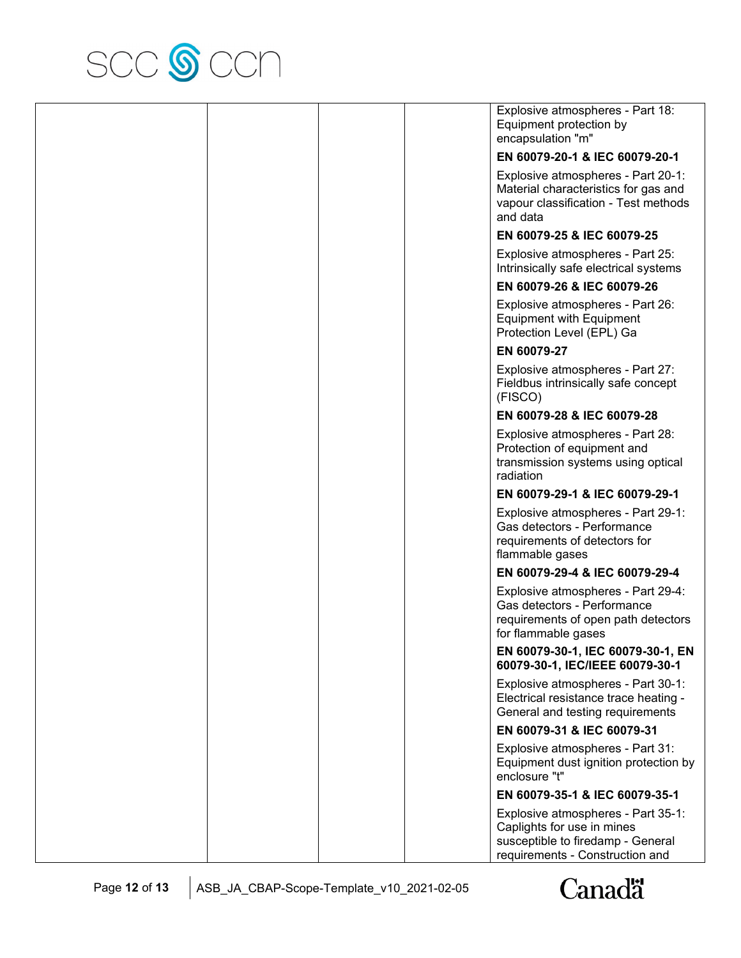

|  |  | Explosive atmospheres - Part 18:<br>Equipment protection by<br>encapsulation "m"                                                         |
|--|--|------------------------------------------------------------------------------------------------------------------------------------------|
|  |  | EN 60079-20-1 & IEC 60079-20-1                                                                                                           |
|  |  | Explosive atmospheres - Part 20-1:<br>Material characteristics for gas and<br>vapour classification - Test methods<br>and data           |
|  |  | EN 60079-25 & IEC 60079-25                                                                                                               |
|  |  | Explosive atmospheres - Part 25:<br>Intrinsically safe electrical systems                                                                |
|  |  | EN 60079-26 & IEC 60079-26                                                                                                               |
|  |  | Explosive atmospheres - Part 26:<br><b>Equipment with Equipment</b><br>Protection Level (EPL) Ga                                         |
|  |  | EN 60079-27                                                                                                                              |
|  |  | Explosive atmospheres - Part 27:<br>Fieldbus intrinsically safe concept<br>(FISCO)                                                       |
|  |  | EN 60079-28 & IEC 60079-28                                                                                                               |
|  |  | Explosive atmospheres - Part 28:<br>Protection of equipment and<br>transmission systems using optical<br>radiation                       |
|  |  | EN 60079-29-1 & IEC 60079-29-1                                                                                                           |
|  |  | Explosive atmospheres - Part 29-1:<br>Gas detectors - Performance<br>requirements of detectors for<br>flammable gases                    |
|  |  | EN 60079-29-4 & IEC 60079-29-4                                                                                                           |
|  |  | Explosive atmospheres - Part 29-4:<br>Gas detectors - Performance<br>requirements of open path detectors<br>for flammable gases          |
|  |  | EN 60079-30-1, IEC 60079-30-1, EN<br>60079-30-1, IEC/IEEE 60079-30-1                                                                     |
|  |  | Explosive atmospheres - Part 30-1:<br>Electrical resistance trace heating -<br>General and testing requirements                          |
|  |  | EN 60079-31 & IEC 60079-31                                                                                                               |
|  |  | Explosive atmospheres - Part 31:<br>Equipment dust ignition protection by<br>enclosure "t"                                               |
|  |  | EN 60079-35-1 & IEC 60079-35-1                                                                                                           |
|  |  | Explosive atmospheres - Part 35-1:<br>Caplights for use in mines<br>susceptible to firedamp - General<br>requirements - Construction and |